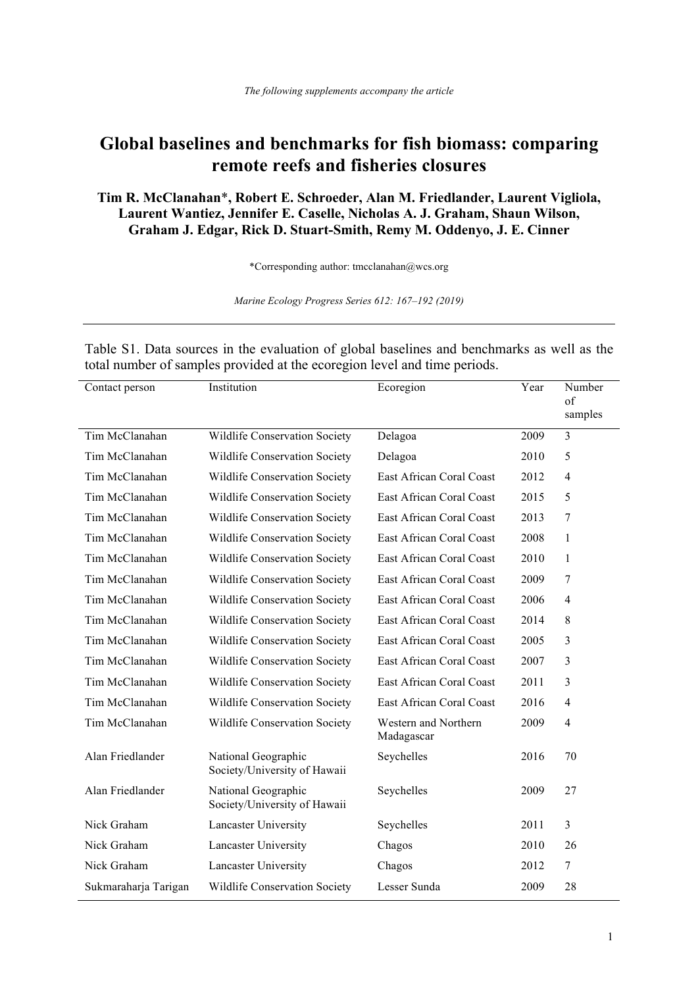## **Global baselines and benchmarks for fish biomass: comparing remote reefs and fisheries closures**

**Tim R. McClanahan**\***, Robert E. Schroeder, Alan M. Friedlander, Laurent Vigliola, Laurent Wantiez, Jennifer E. Caselle, Nicholas A. J. Graham, Shaun Wilson, Graham J. Edgar, Rick D. Stuart-Smith, Remy M. Oddenyo, J. E. Cinner**

\*Corresponding author: tmcclanahan@wcs.org

*Marine Ecology Progress Series 612: 167–192 (2019)*

Table S1. Data sources in the evaluation of global baselines and benchmarks as well as the total number of samples provided at the ecoregion level and time periods. Contact person Institution Ecoregion Year Number

| Contact person       | msulution                                           | ecoregion                          | r ear | Number<br>of<br>samples |
|----------------------|-----------------------------------------------------|------------------------------------|-------|-------------------------|
| Tim McClanahan       | Wildlife Conservation Society                       | Delagoa                            | 2009  | 3                       |
| Tim McClanahan       | Wildlife Conservation Society                       | Delagoa                            | 2010  | 5                       |
| Tim McClanahan       | Wildlife Conservation Society                       | East African Coral Coast           | 2012  | $\overline{4}$          |
| Tim McClanahan       | Wildlife Conservation Society                       | East African Coral Coast           | 2015  | 5                       |
| Tim McClanahan       | Wildlife Conservation Society                       | East African Coral Coast           | 2013  | 7                       |
| Tim McClanahan       | Wildlife Conservation Society                       | East African Coral Coast           | 2008  | 1                       |
| Tim McClanahan       | Wildlife Conservation Society                       | East African Coral Coast           | 2010  | 1                       |
| Tim McClanahan       | Wildlife Conservation Society                       | East African Coral Coast           | 2009  | 7                       |
| Tim McClanahan       | Wildlife Conservation Society                       | East African Coral Coast           | 2006  | 4                       |
| Tim McClanahan       | Wildlife Conservation Society                       | East African Coral Coast           | 2014  | 8                       |
| Tim McClanahan       | Wildlife Conservation Society                       | East African Coral Coast           | 2005  | 3                       |
| Tim McClanahan       | Wildlife Conservation Society                       | East African Coral Coast           | 2007  | 3                       |
| Tim McClanahan       | Wildlife Conservation Society                       | East African Coral Coast           | 2011  | 3                       |
| Tim McClanahan       | Wildlife Conservation Society                       | East African Coral Coast           | 2016  | 4                       |
| Tim McClanahan       | Wildlife Conservation Society                       | Western and Northern<br>Madagascar | 2009  | $\overline{4}$          |
| Alan Friedlander     | National Geographic<br>Society/University of Hawaii | Seychelles                         | 2016  | 70                      |
| Alan Friedlander     | National Geographic<br>Society/University of Hawaii | Seychelles                         | 2009  | 27                      |
| Nick Graham          | Lancaster University                                | Seychelles                         | 2011  | 3                       |
| Nick Graham          | <b>Lancaster University</b>                         | Chagos                             | 2010  | 26                      |
| Nick Graham          | <b>Lancaster University</b>                         | Chagos                             | 2012  | $\tau$                  |
| Sukmaraharja Tarigan | Wildlife Conservation Society                       | Lesser Sunda                       | 2009  | 28                      |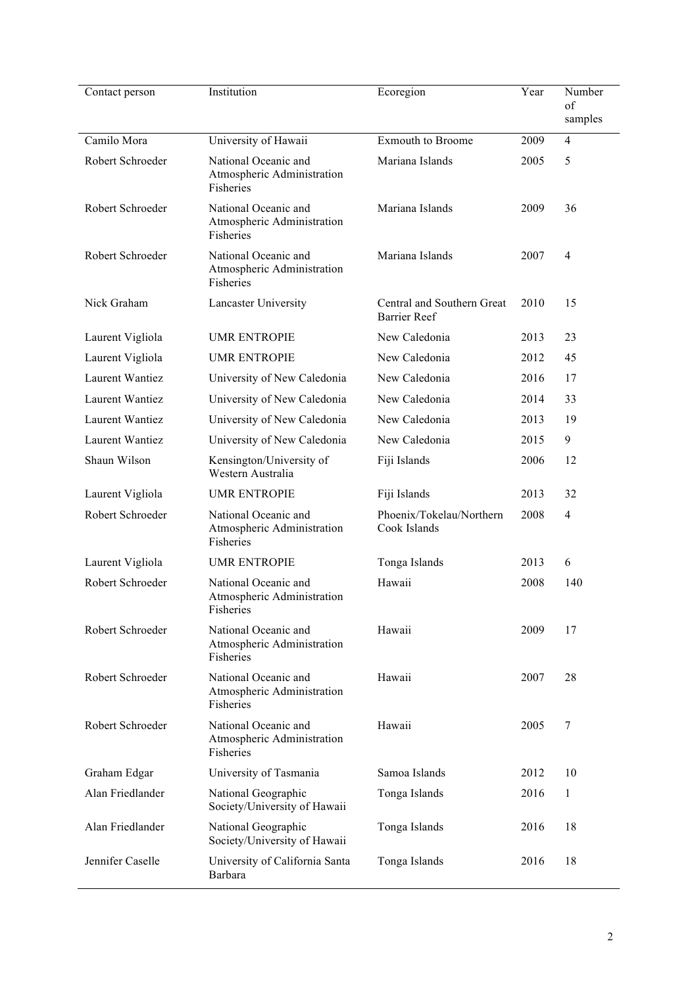| Contact person         | Institution                                                     | Ecoregion                                         | Year | Number                |
|------------------------|-----------------------------------------------------------------|---------------------------------------------------|------|-----------------------|
|                        |                                                                 |                                                   |      | $\sigma$ f<br>samples |
| Camilo Mora            | University of Hawaii                                            | <b>Exmouth to Broome</b>                          | 2009 | $\overline{4}$        |
| Robert Schroeder       | National Oceanic and                                            | Mariana Islands                                   | 2005 | 5                     |
|                        | Atmospheric Administration<br>Fisheries                         |                                                   |      |                       |
| Robert Schroeder       | National Oceanic and<br>Atmospheric Administration<br>Fisheries | Mariana Islands                                   | 2009 | 36                    |
| Robert Schroeder       | National Oceanic and<br>Atmospheric Administration<br>Fisheries | Mariana Islands                                   | 2007 | $\overline{4}$        |
| Nick Graham            | Lancaster University                                            | Central and Southern Great<br><b>Barrier Reef</b> | 2010 | 15                    |
| Laurent Vigliola       | <b>UMR ENTROPIE</b>                                             | New Caledonia                                     | 2013 | 23                    |
| Laurent Vigliola       | <b>UMR ENTROPIE</b>                                             | New Caledonia                                     | 2012 | 45                    |
| <b>Laurent Wantiez</b> | University of New Caledonia                                     | New Caledonia                                     | 2016 | 17                    |
| Laurent Wantiez        | University of New Caledonia                                     | New Caledonia                                     | 2014 | 33                    |
| Laurent Wantiez        | University of New Caledonia                                     | New Caledonia                                     | 2013 | 19                    |
| Laurent Wantiez        | University of New Caledonia                                     | New Caledonia                                     | 2015 | 9                     |
| Shaun Wilson           | Kensington/University of<br>Western Australia                   | Fiji Islands                                      | 2006 | 12                    |
| Laurent Vigliola       | <b>UMR ENTROPIE</b>                                             | Fiji Islands                                      | 2013 | 32                    |
| Robert Schroeder       | National Oceanic and<br>Atmospheric Administration<br>Fisheries | Phoenix/Tokelau/Northern<br>Cook Islands          | 2008 | $\overline{4}$        |
| Laurent Vigliola       | <b>UMR ENTROPIE</b>                                             | Tonga Islands                                     | 2013 | 6                     |
| Robert Schroeder       | National Oceanic and<br>Atmospheric Administration<br>Fisheries | Hawaii                                            | 2008 | 140                   |
| Robert Schroeder       | National Oceanic and<br>Atmospheric Administration<br>Fisheries | Hawaii                                            | 2009 | 17                    |
| Robert Schroeder       | National Oceanic and<br>Atmospheric Administration<br>Fisheries | Hawaii                                            | 2007 | 28                    |
| Robert Schroeder       | National Oceanic and<br>Atmospheric Administration<br>Fisheries | Hawaii                                            | 2005 | 7                     |
| Graham Edgar           | University of Tasmania                                          | Samoa Islands                                     | 2012 | 10                    |
| Alan Friedlander       | National Geographic<br>Society/University of Hawaii             | Tonga Islands                                     | 2016 | 1                     |
| Alan Friedlander       | National Geographic<br>Society/University of Hawaii             | Tonga Islands                                     | 2016 | 18                    |
| Jennifer Caselle       | University of California Santa<br>Barbara                       | Tonga Islands                                     | 2016 | 18                    |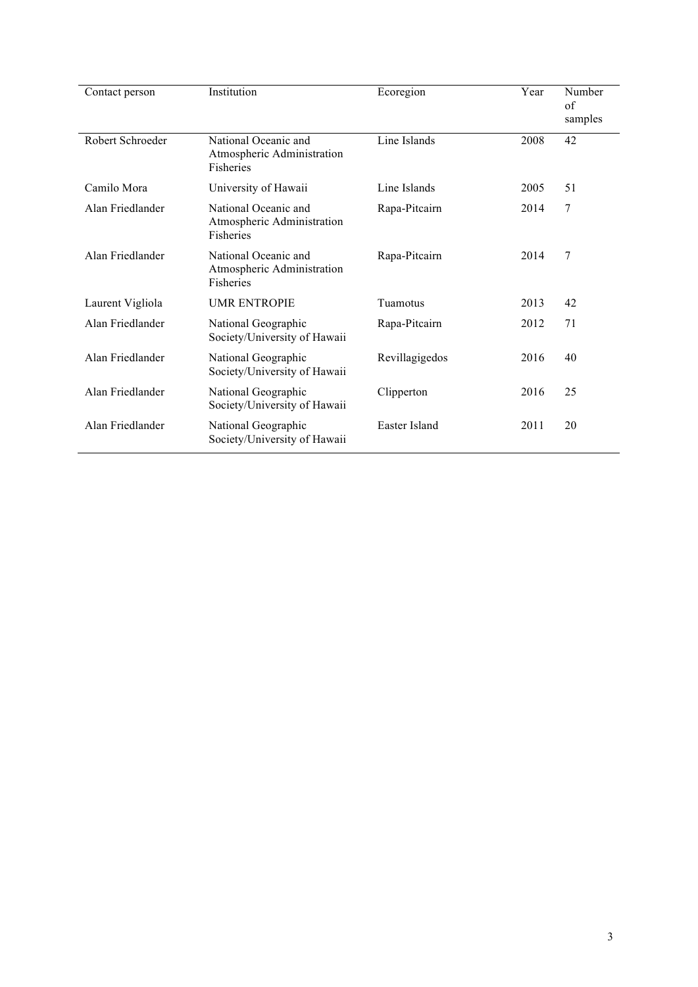| Contact person   | Institution                                                            | Ecoregion      | Year | Number<br>of<br>samples |
|------------------|------------------------------------------------------------------------|----------------|------|-------------------------|
| Robert Schroeder | National Oceanic and<br>Atmospheric Administration<br><b>Fisheries</b> | Line Islands   | 2008 | 42                      |
| Camilo Mora      | University of Hawaii                                                   | Line Islands   | 2005 | 51                      |
| Alan Friedlander | National Oceanic and<br>Atmospheric Administration<br>Fisheries        | Rapa-Pitcairn  | 2014 | 7                       |
| Alan Friedlander | National Oceanic and<br>Atmospheric Administration<br>Fisheries        | Rapa-Pitcairn  | 2014 | 7                       |
| Laurent Vigliola | <b>UMR ENTROPIE</b>                                                    | Tuamotus       | 2013 | 42                      |
| Alan Friedlander | National Geographic<br>Society/University of Hawaii                    | Rapa-Pitcairn  | 2012 | 71                      |
| Alan Friedlander | National Geographic<br>Society/University of Hawaii                    | Revillagigedos | 2016 | 40                      |
| Alan Friedlander | National Geographic<br>Society/University of Hawaii                    | Clipperton     | 2016 | 25                      |
| Alan Friedlander | National Geographic<br>Society/University of Hawaii                    | Easter Island  | 2011 | 20                      |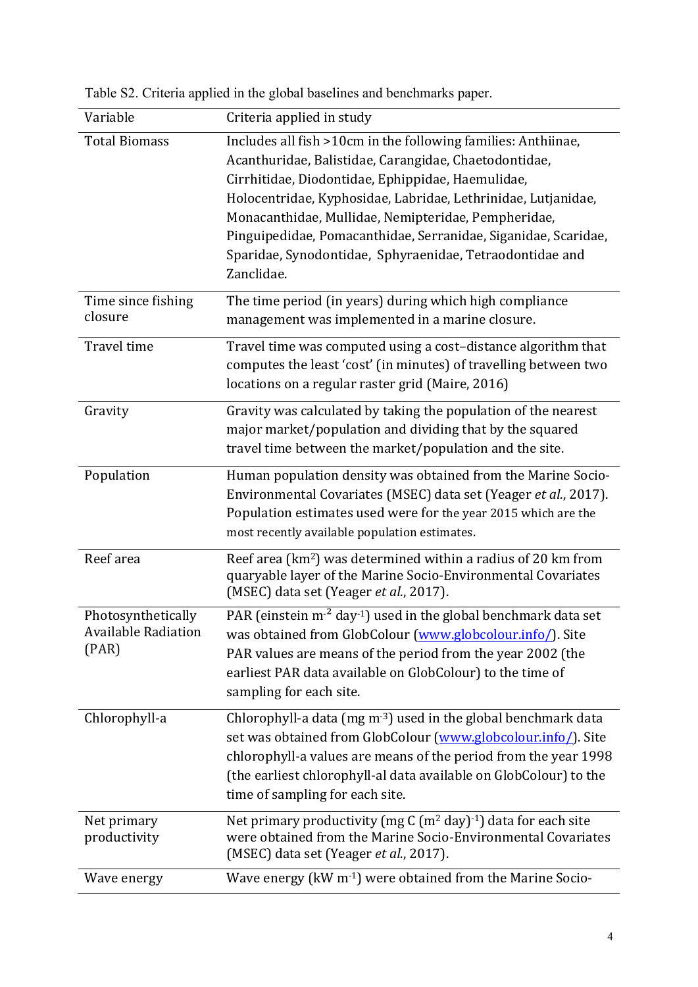| Variable                                           | Criteria applied in study                                                                                                                                                                                                                                                                                                                                                                                                                       |
|----------------------------------------------------|-------------------------------------------------------------------------------------------------------------------------------------------------------------------------------------------------------------------------------------------------------------------------------------------------------------------------------------------------------------------------------------------------------------------------------------------------|
| <b>Total Biomass</b>                               | Includes all fish >10cm in the following families: Anthiinae,<br>Acanthuridae, Balistidae, Carangidae, Chaetodontidae,<br>Cirrhitidae, Diodontidae, Ephippidae, Haemulidae,<br>Holocentridae, Kyphosidae, Labridae, Lethrinidae, Lutjanidae,<br>Monacanthidae, Mullidae, Nemipteridae, Pempheridae,<br>Pinguipedidae, Pomacanthidae, Serranidae, Siganidae, Scaridae,<br>Sparidae, Synodontidae, Sphyraenidae, Tetraodontidae and<br>Zanclidae. |
| Time since fishing<br>closure                      | The time period (in years) during which high compliance<br>management was implemented in a marine closure.                                                                                                                                                                                                                                                                                                                                      |
| Travel time                                        | Travel time was computed using a cost-distance algorithm that<br>computes the least 'cost' (in minutes) of travelling between two<br>locations on a regular raster grid (Maire, 2016)                                                                                                                                                                                                                                                           |
| Gravity                                            | Gravity was calculated by taking the population of the nearest<br>major market/population and dividing that by the squared<br>travel time between the market/population and the site.                                                                                                                                                                                                                                                           |
| Population                                         | Human population density was obtained from the Marine Socio-<br>Environmental Covariates (MSEC) data set (Yeager et al., 2017).<br>Population estimates used were for the year 2015 which are the<br>most recently available population estimates.                                                                                                                                                                                              |
| Reef area                                          | Reef area (km <sup>2</sup> ) was determined within a radius of 20 km from<br>quaryable layer of the Marine Socio-Environmental Covariates<br>(MSEC) data set (Yeager et al., 2017).                                                                                                                                                                                                                                                             |
| Photosynthetically<br>Available Radiation<br>(PAR) | PAR (einstein $m2$ day <sup>-1</sup> ) used in the global benchmark data set<br>was obtained from GlobColour (www.globcolour.info/). Site<br>PAR values are means of the period from the year 2002 (the<br>earliest PAR data available on GlobColour) to the time of<br>sampling for each site.                                                                                                                                                 |
| Chlorophyll-a                                      | Chlorophyll-a data (mg $m^{-3}$ ) used in the global benchmark data<br>set was obtained from GlobColour (www.globcolour.info/). Site<br>chlorophyll-a values are means of the period from the year 1998<br>(the earliest chlorophyll-al data available on GlobColour) to the<br>time of sampling for each site.                                                                                                                                 |
| Net primary<br>productivity                        | Net primary productivity (mg $C(m^2 day)^{-1}$ ) data for each site<br>were obtained from the Marine Socio-Environmental Covariates<br>(MSEC) data set (Yeager et al., 2017).                                                                                                                                                                                                                                                                   |
| Wave energy                                        | Wave energy (kW m <sup>-1</sup> ) were obtained from the Marine Socio-                                                                                                                                                                                                                                                                                                                                                                          |

Table S2. Criteria applied in the global baselines and benchmarks paper.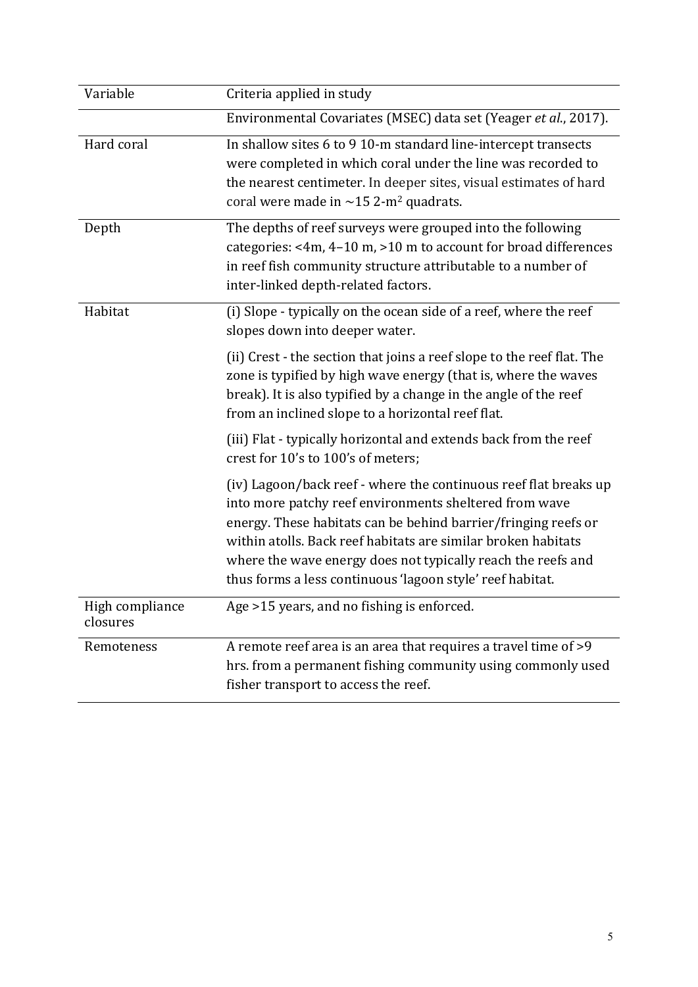| Variable                    | Criteria applied in study                                                                                                                                                                                                                                                                                                                                                                  |
|-----------------------------|--------------------------------------------------------------------------------------------------------------------------------------------------------------------------------------------------------------------------------------------------------------------------------------------------------------------------------------------------------------------------------------------|
|                             | Environmental Covariates (MSEC) data set (Yeager et al., 2017).                                                                                                                                                                                                                                                                                                                            |
| Hard coral                  | In shallow sites 6 to 9 10-m standard line-intercept transects<br>were completed in which coral under the line was recorded to<br>the nearest centimeter. In deeper sites, visual estimates of hard<br>coral were made in $\sim$ 15 2-m <sup>2</sup> quadrats.                                                                                                                             |
| Depth                       | The depths of reef surveys were grouped into the following<br>categories: <4m, 4-10 m, >10 m to account for broad differences<br>in reef fish community structure attributable to a number of<br>inter-linked depth-related factors.                                                                                                                                                       |
| Habitat                     | (i) Slope - typically on the ocean side of a reef, where the reef<br>slopes down into deeper water.                                                                                                                                                                                                                                                                                        |
|                             | (ii) Crest - the section that joins a reef slope to the reef flat. The<br>zone is typified by high wave energy (that is, where the waves<br>break). It is also typified by a change in the angle of the reef<br>from an inclined slope to a horizontal reef flat.                                                                                                                          |
|                             | (iii) Flat - typically horizontal and extends back from the reef<br>crest for 10's to 100's of meters;                                                                                                                                                                                                                                                                                     |
|                             | (iv) Lagoon/back reef - where the continuous reef flat breaks up<br>into more patchy reef environments sheltered from wave<br>energy. These habitats can be behind barrier/fringing reefs or<br>within atolls. Back reef habitats are similar broken habitats<br>where the wave energy does not typically reach the reefs and<br>thus forms a less continuous 'lagoon style' reef habitat. |
| High compliance<br>closures | Age >15 years, and no fishing is enforced                                                                                                                                                                                                                                                                                                                                                  |
| Remoteness                  | A remote reef area is an area that requires a travel time of >9<br>hrs. from a permanent fishing community using commonly used<br>fisher transport to access the reef.                                                                                                                                                                                                                     |